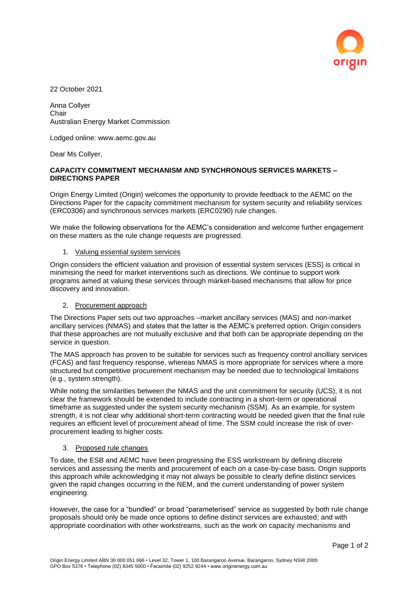

22 October 2021

Anna Collyer **Chair** Australian Energy Market Commission

Lodged online: www.aemc.gov.au

Dear Ms Collyer,

# **CAPACITY COMMITMENT MECHANISM AND SYNCHRONOUS SERVICES MARKETS – DIRECTIONS PAPER**

Origin Energy Limited (Origin) welcomes the opportunity to provide feedback to the AEMC on the Directions Paper for the capacity commitment mechanism for system security and reliability services (ERC0306) and synchronous services markets (ERC0290) rule changes.

We make the following observations for the AEMC's consideration and welcome further engagement on these matters as the rule change requests are progressed.

## 1. Valuing essential system services

Origin considers the efficient valuation and provision of essential system services (ESS) is critical in minimising the need for market interventions such as directions. We continue to support work programs aimed at valuing these services through market-based mechanisms that allow for price discovery and innovation.

#### 2. Procurement approach

The Directions Paper sets out two approaches –market ancillary services (MAS) and non-market ancillary services (NMAS) and states that the latter is the AEMC's preferred option. Origin considers that these approaches are not mutually exclusive and that both can be appropriate depending on the service in question.

The MAS approach has proven to be suitable for services such as frequency control ancillary services (FCAS) and fast frequency response, whereas NMAS is more appropriate for services where a more structured but competitive procurement mechanism may be needed due to technological limitations (e.g., system strength).

While noting the similarities between the NMAS and the unit commitment for security (UCS), it is not clear the framework should be extended to include contracting in a short-term or operational timeframe as suggested under the system security mechanism (SSM). As an example, for system strength, it is not clear why additional short-term contracting would be needed given that the final rule requires an efficient level of procurement ahead of time. The SSM could increase the risk of overprocurement leading to higher costs.

#### 3. Proposed rule changes

To date, the ESB and AEMC have been progressing the ESS workstream by defining discrete services and assessing the merits and procurement of each on a case-by-case basis. Origin supports this approach while acknowledging it may not always be possible to clearly define distinct services given the rapid changes occurring in the NEM, and the current understanding of power system engineering.

However, the case for a "bundled" or broad "parameterised" service as suggested by both rule change proposals should only be made once options to define distinct services are exhausted; and with appropriate coordination with other workstreams, such as the work on capacity mechanisms and